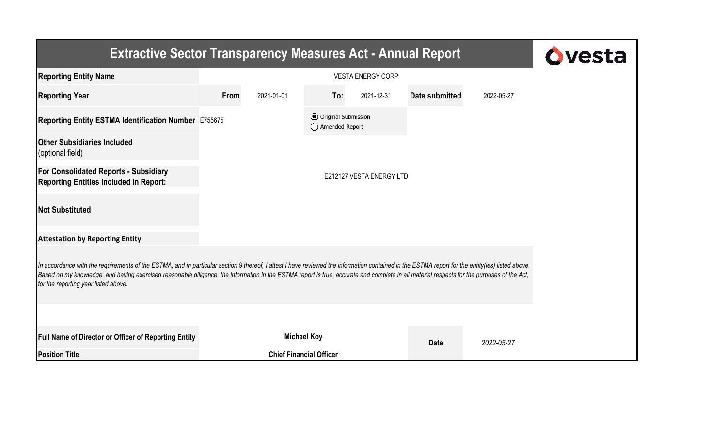| <b>Extractive Sector Transparency Measures Act - Annual Report</b>                                                                                                                                                                                                                                                                                                                                                                    | vesta |                                |                                                  |            |                |            |  |  |  |  |
|---------------------------------------------------------------------------------------------------------------------------------------------------------------------------------------------------------------------------------------------------------------------------------------------------------------------------------------------------------------------------------------------------------------------------------------|-------|--------------------------------|--------------------------------------------------|------------|----------------|------------|--|--|--|--|
| <b>Reporting Entity Name</b>                                                                                                                                                                                                                                                                                                                                                                                                          |       |                                |                                                  |            |                |            |  |  |  |  |
| <b>Reporting Year</b>                                                                                                                                                                                                                                                                                                                                                                                                                 | From  | 2021-01-01                     | To:                                              | 2021-12-31 | Date submitted | 2022-05-27 |  |  |  |  |
| Reporting Entity ESTMA Identification Number E755675                                                                                                                                                                                                                                                                                                                                                                                  |       |                                | <b>⊙</b> Original Submission<br>◯ Amended Report |            |                |            |  |  |  |  |
| <b>Other Subsidiaries Included</b><br>(optional field)                                                                                                                                                                                                                                                                                                                                                                                |       |                                |                                                  |            |                |            |  |  |  |  |
| <b>For Consolidated Reports - Subsidiary</b><br><b>Reporting Entities Included in Report:</b>                                                                                                                                                                                                                                                                                                                                         |       |                                |                                                  |            |                |            |  |  |  |  |
| <b>Not Substituted</b>                                                                                                                                                                                                                                                                                                                                                                                                                |       |                                |                                                  |            |                |            |  |  |  |  |
| <b>Attestation by Reporting Entity</b>                                                                                                                                                                                                                                                                                                                                                                                                |       |                                |                                                  |            |                |            |  |  |  |  |
| In accordance with the requirements of the ESTMA, and in particular section 9 thereof, I attest I have reviewed the information contained in the ESTMA report for the entity(ies) listed above.<br>Based on my knowledge, and having exercised reasonable diligence, the information in the ESTMA report is true, accurate and complete in all material respects for the purposes of the Act,<br>for the reporting year listed above. |       |                                |                                                  |            |                |            |  |  |  |  |
|                                                                                                                                                                                                                                                                                                                                                                                                                                       |       |                                |                                                  |            |                |            |  |  |  |  |
| Full Name of Director or Officer of Reporting Entity                                                                                                                                                                                                                                                                                                                                                                                  |       | <b>Michael Koy</b>             |                                                  |            | <b>Date</b>    | 2022-05-27 |  |  |  |  |
| <b>Position Title</b>                                                                                                                                                                                                                                                                                                                                                                                                                 |       | <b>Chief Financial Officer</b> |                                                  |            |                |            |  |  |  |  |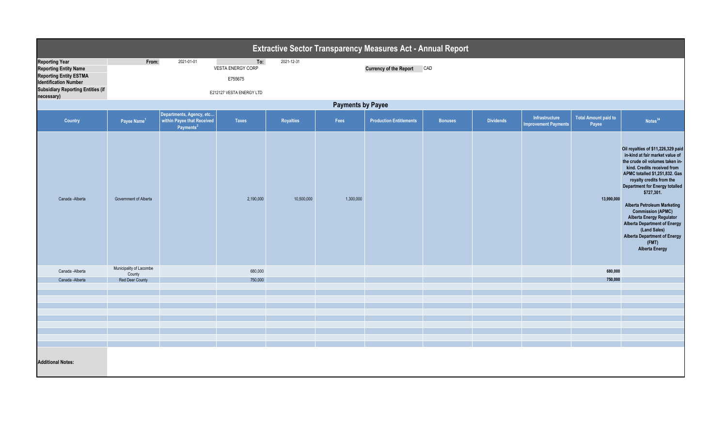| <b>Extractive Sector Transparency Measures Act - Annual Report</b>                                                                                                               |                                   |                                                                                 |                                                                        |            |           |                                   |                |                  |                                                      |                                      |                                                                                                                                                                                                                                                                                                                                                                                                                                                                              |  |
|----------------------------------------------------------------------------------------------------------------------------------------------------------------------------------|-----------------------------------|---------------------------------------------------------------------------------|------------------------------------------------------------------------|------------|-----------|-----------------------------------|----------------|------------------|------------------------------------------------------|--------------------------------------|------------------------------------------------------------------------------------------------------------------------------------------------------------------------------------------------------------------------------------------------------------------------------------------------------------------------------------------------------------------------------------------------------------------------------------------------------------------------------|--|
| <b>Reporting Year</b><br><b>Reporting Entity Name</b><br><b>Reporting Entity ESTMA</b><br><b>Identification Number</b><br><b>Subsidiary Reporting Entities (if</b><br>necessary) | From:                             | 2021-01-01                                                                      | To:<br><b>VESTA ENERGY CORP</b><br>E755675<br>E212127 VESTA ENERGY LTD | 2021-12-31 |           | <b>Currency of the Report CAD</b> |                |                  |                                                      |                                      |                                                                                                                                                                                                                                                                                                                                                                                                                                                                              |  |
|                                                                                                                                                                                  | <b>Payments by Payee</b>          |                                                                                 |                                                                        |            |           |                                   |                |                  |                                                      |                                      |                                                                                                                                                                                                                                                                                                                                                                                                                                                                              |  |
| <b>Country</b>                                                                                                                                                                   | Payee Name <sup>1</sup>           | Departments, Agency, etc<br>within Payee that Received<br>Payments <sup>2</sup> | <b>Taxes</b>                                                           | Royalties  | Fees      | <b>Production Entitlements</b>    | <b>Bonuses</b> | <b>Dividends</b> | <b>Infrastructure</b><br><b>Improvement Payments</b> | <b>Total Amount paid to</b><br>Payee | Notes <sup>34</sup>                                                                                                                                                                                                                                                                                                                                                                                                                                                          |  |
| Canada -Alberta                                                                                                                                                                  | Government of Alberta             |                                                                                 | 2,190,000                                                              | 10,500,000 | 1,300,000 |                                   |                |                  |                                                      | 13,990,000                           | Oil royalties of \$11,226,329 paid<br>in-kind at fair market value of<br>the crude oil volumes taken in-<br>kind. Credits received from<br>APMC totalled \$1,251,832. Gas<br>royalty credits from the<br><b>Department for Energy totalled</b><br>\$727,301.<br>Alberta Petroleum Marketing<br><b>Commission (APMC)</b><br>Alberta Energy Regulator<br>Alberta Department of Energy<br>(Land Sales)<br><b>Alberta Department of Energy</b><br>(FMT)<br><b>Alberta Energy</b> |  |
| Canada - Alberta                                                                                                                                                                 | Municipality of Lacombe<br>County |                                                                                 | 680,000                                                                |            |           |                                   |                |                  |                                                      | 680,000                              |                                                                                                                                                                                                                                                                                                                                                                                                                                                                              |  |
| Canada - Alberta                                                                                                                                                                 | <b>Red Deer County</b>            |                                                                                 | 750,000                                                                |            |           |                                   |                |                  |                                                      | 750,000                              |                                                                                                                                                                                                                                                                                                                                                                                                                                                                              |  |
|                                                                                                                                                                                  |                                   |                                                                                 |                                                                        |            |           |                                   |                |                  |                                                      |                                      |                                                                                                                                                                                                                                                                                                                                                                                                                                                                              |  |
|                                                                                                                                                                                  |                                   |                                                                                 |                                                                        |            |           |                                   |                |                  |                                                      |                                      |                                                                                                                                                                                                                                                                                                                                                                                                                                                                              |  |
|                                                                                                                                                                                  |                                   |                                                                                 |                                                                        |            |           |                                   |                |                  |                                                      |                                      |                                                                                                                                                                                                                                                                                                                                                                                                                                                                              |  |
|                                                                                                                                                                                  |                                   |                                                                                 |                                                                        |            |           |                                   |                |                  |                                                      |                                      |                                                                                                                                                                                                                                                                                                                                                                                                                                                                              |  |
|                                                                                                                                                                                  |                                   |                                                                                 |                                                                        |            |           |                                   |                |                  |                                                      |                                      |                                                                                                                                                                                                                                                                                                                                                                                                                                                                              |  |
|                                                                                                                                                                                  |                                   |                                                                                 |                                                                        |            |           |                                   |                |                  |                                                      |                                      |                                                                                                                                                                                                                                                                                                                                                                                                                                                                              |  |
| <b>Additional Notes:</b>                                                                                                                                                         |                                   |                                                                                 |                                                                        |            |           |                                   |                |                  |                                                      |                                      |                                                                                                                                                                                                                                                                                                                                                                                                                                                                              |  |